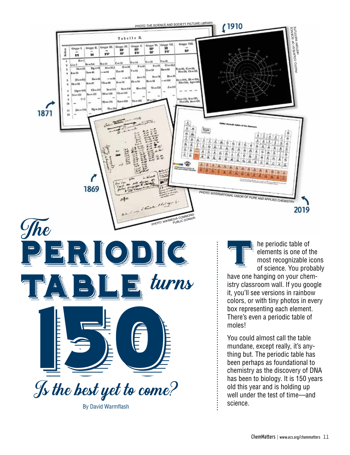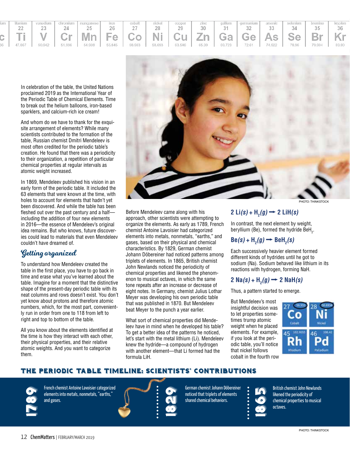| um. | titanium |  | vanadium   chromium   manganese                                                                                         | iron | cobalt | nickel | copper | zinc | gallium germanium arsenic selenium |    | bromine | krypton |
|-----|----------|--|-------------------------------------------------------------------------------------------------------------------------|------|--------|--------|--------|------|------------------------------------|----|---------|---------|
|     |          |  | 25                                                                                                                      | 26   |        | 28     | 29     | 30   | 32                                 | 34 | 35      | 36      |
|     |          |  | c   Ti   V   Cr   Mn   Fe   Co   Ni   Cu   Zn   Ga   Ge   As   Se   Br   Kr                                             |      |        |        |        |      |                                    |    |         |         |
|     | 47.867   |  | 50.942   51.996   54.938   55.845   58.933   58.693   63.546   65.39   69.723   72.61   74.922   78.96   79.904   83.80 |      |        |        |        |      |                                    |    |         |         |

In celebration of the table, the United Nations proclaimed 2019 as the International Year of the Periodic Table of Chemical Elements. Time to break out the helium balloons, iron-based sparklers, and calcium-rich ice cream!

And whom do we have to thank for the exquisite arrangement of elements? While many scientists contributed to the formation of the table, Russian chemist Dmitri Mendeleev is most often credited for the periodic table's creation. He found that there was a periodicity to their organization, a repetition of particular chemical properties at regular intervals as atomic weight increased.

In 1869, Mendeleev published his vision in an early form of the periodic table. It included the 63 elements that were known at the time, with holes to account for elements that hadn't yet been discovered. And while the table has been fleshed out over the past century and a half including the addition of four new elements in 2016—the essence of Mendeleev's original idea remains. But who knows, future discoveries could lead to materials that even Mendeleev couldn't have dreamed of.

### Getting organized

To understand how Mendeleev created the table in the first place, you have to go back in time and erase what you've learned about the table. Imagine for a moment that the distinctive shape of the present-day periodic table with its neat columns and rows doesn't exist. You don't yet know about protons and therefore atomic numbers, which, for the most part, conveniently run in order from one to 118 from left to right and top to bottom of the table.

All you know about the elements identified at the time is how they interact with each other, their physical properties, and their relative atomic weights. And you want to categorize them.



Before Mendeleev came along with his approach, other scientists were attempting to organize the elements. As early as 1789, French chemist Antoine Lavoisier had categorized elements into metals, nonmetals, "earths," and gases, based on their physical and chemical characteristics. By 1829, German chemist Johann Döbereiner had noticed patterns among triplets of elements. In 1865, British chemist John Newlands noticed the periodicity of chemical properties and likened the phenomenon to musical octaves, in which the same tone repeats after an increase or decrease of eight notes. In Germany, chemist Julius Lothar Meyer was developing his own periodic table that was published in 1870. But Mendeleev beat Meyer to the punch a year earlier.

What sort of chemical properties did Mendeleev have in mind when he developed his table? To get a better idea of the patterns he noticed, let's start with the metal lithium (Li). Mendeleev knew the hydride—a compound of hydrogen with another element—that Li formed had the formula LiH.

### $2 \text{ Li}(s) + \text{H}_2(g) \rightarrow 2 \text{ LiH}(s)$

In contrast, the next element by weight, beryllium (Be), formed the hydride BeH $_{\textrm{\tiny{2}}}$ .

### $\text{Be}(s) + \text{H}_2(g) \rightarrow \text{BeH}_2(s)$

Each successively heavier element formed different kinds of hydrides until he got to sodium (Na). Sodium behaved like lithium in its reactions with hydrogen, forming NaH.

### $2 \text{ Na}(s) + \text{H}_2(g) \rightarrow 2 \text{ NaH}(s)$

Thus, a pattern started to emerge.

But Mendeleev's most insightful decision was to let properties sometimes trump atomic weight when he placed elements. For example, if you look at the periodic table, you'll notice that nickel follows cobalt in the fourth row



### The Periodic Table Timeline: Scientists' Contributions

French chemist Antoine Lavoisier categorized<br>elements into metals, nonmetals, "earths,"<br>and gases. elements into metals, nonmetals, "earths," and gases.

German chemist Johann Döbereiner<br>
noticed that triplets of elements<br>
shared chemical behaviors. noticed that triplets of elements shared chemical behaviors.



British chemist John Newlands likened the periodicity of chemical properties to musical octaves.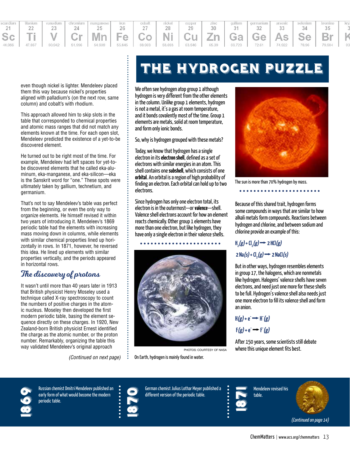

even though nickel is lighter. Mendeleev placed them this way because nickel's properties aligned with palladium's (on the next row, same column) and cobalt's with rhodium.

This approach allowed him to skip slots in the table that corresponded to chemical properties and atomic mass ranges that did not match any elements known at the time. For each open slot, Mendeleev predicted the existence of a yet-to-be discovered element.

He turned out to be right most of the time. For example, Mendeleev had left spaces for yet-tobe discovered elements that he called eka-aluminum, eka-manganese, and eka-silicon—eka is the Sanskrit word for "one." These spots were ultimately taken by gallium, technetium, and germanium.

That's not to say Mendeleev's table was perfect from the beginning, or even the only way to organize elements. He himself revised it within two years of introducing it. Mendeleev's 1869 periodic table had the elements with increasing mass moving down in columns, while elements with similar chemical properties lined up horizontally in rows. In 1871, however, he reversed this idea. He lined up elements with similar properties vertically, and the periods appeared in horizontal rows.

### The discovery of protons

It wasn't until more than 40 years later in 1913 that British physicist Henry Moseley used a technique called X-ray spectroscopy to count the numbers of positive charges in the atomic nucleus. Moseley then developed the first modern periodic table, basing the element sequence directly on these charges. In 1920, New Zealand-born British physicist Ernest identified the charge as the atomic number, or the proton number. Remarkably, organizing the table this way validated Mendeleev's original approach

(Continued on next page)

# The Hydrogen Puzzle

We often see hydrogen atop group 1 although hydrogen is very different from the other elements in the column. Unlike group 1 elements, hydrogen is not a metal, it's a gas at room temperature, and it bonds covalently most of the time. Group 1 elements are metals, solid at room temperature, and form only ionic bonds.

So, why is hydrogen grouped with these metals?

Today, we know that hydrogen has a single electron in its **electron shell**, defined as a set of electrons with similar energies in an atom. This shell contains one **subshell**, which consists of one **orbital**. An orbital is a region of high probability of finding an electron. Each orbital can hold up to two electrons.

Since hydrogen has only one electron total, its electron is in the outermost—or **valence**—shell. Valence shell electrons account for how an element reacts chemically. Other group 1 elements have more than one electron, but like hydrogen, they have only a single electron in their valence shells.







The sun is more than 70% hydrogen by mass. . . . . . . . . . . . . . . . .

Because of this shared trait, hydrogen forms some compounds in ways that are similar to how alkali metals form compounds. Reactions between hydrogen and chlorine, and between sodium and chlorine provide an example of this:

## $H_2(g)$  + Cl<sub>2</sub> $(g)$   $\rightarrow$  2 HCl $(g)$  $2 \text{ Na}(s) + \text{Cl}_2(g) \rightarrow 2 \text{ NaCl}(s)$

But in other ways, hydrogen resembles elements in group 17, the halogens, which are nonmetals like hydrogen. Halogens' valence shells have seven electrons, and need just one more for these shells to be full. Hydrogen's valence shell also needs just one more electron to fill its valence shell and form an anion.

## $H(g) + e^- \rightarrow H^-(g)$  $F(g) + e^- \rightarrow F(g)$

After 150 years, some scientists still debate where this unique element fits best.

Russian chemist Dmitri Mendeleev published an<br>early form of what would become the modern<br>periodic table. early form of what would become the modern periodic table.



 $\ddot{\phantom{a}}$ 

1870German chemist Julius Lothar Meyer published a different version of the periodic table.



Mendeleev revised his table.



(Continued on page 14)